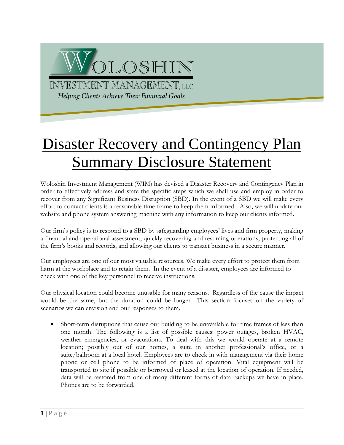

## **Disaster Recovery and Contingency Plan** Summary Disclosure Statement

Woloshin Investment Management (WIM) has devised a Disaster Recovery and Contingency Plan in order to effectively address and state the specific steps which we shall use and employ in order to recover from any Significant Business Disruption (SBD). In the event of a SBD we will make every effort to contact clients is a reasonable time frame to keep them informed. Also, we will update our website and phone system answering machine with any information to keep our clients informed.

Our firm's policy is to respond to a SBD by safeguarding employees' lives and firm property, making a financial and operational assessment, quickly recovering and resuming operations, protecting all of the firm's books and records, and allowing our clients to transact business in a secure manner.

Our employees are one of our most valuable resources. We make every effort to protect them from harm at the workplace and to retain them. In the event of a disaster, employees are informed to check with one of the key personnel to receive instructions.

Our physical location could become unusable for many reasons. Regardless of the cause the impact would be the same, but the duration could be longer. This section focuses on the variety of scenarios we can envision and our responses to them.

• Short-term disruptions that cause our building to be unavailable for time frames of less than one month. The following is a list of possible causes: power outages, broken HVAC, weather emergencies, or evacuations. To deal with this we would operate at a remote location; possibly out of our homes, a suite in another professional's office, or a suite/ballroom at a local hotel. Employees are to check in with management via their home phone or cell phone to be informed of place of operation. Vital equipment will be transported to site if possible or borrowed or leased at the location of operation. If needed, data will be restored from one of many different forms of data backups we have in place. Phones are to be forwarded.